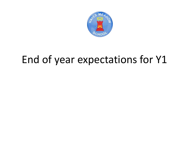

## End of year expectations for Y1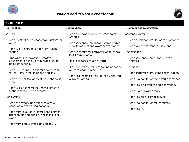

## *Writing end of year expectations*



| A year 1 writer                                                                                                                                                                                                                                                                                                                                                                                                                                                                                                      |                                                                                                                                                                                                                                                                                                                                                                                                                                         |                                                                                                                                                                                                                                                                                                                                                                                                                                                                         |
|----------------------------------------------------------------------------------------------------------------------------------------------------------------------------------------------------------------------------------------------------------------------------------------------------------------------------------------------------------------------------------------------------------------------------------------------------------------------------------------------------------------------|-----------------------------------------------------------------------------------------------------------------------------------------------------------------------------------------------------------------------------------------------------------------------------------------------------------------------------------------------------------------------------------------------------------------------------------------|-------------------------------------------------------------------------------------------------------------------------------------------------------------------------------------------------------------------------------------------------------------------------------------------------------------------------------------------------------------------------------------------------------------------------------------------------------------------------|
| <b>Transcription</b>                                                                                                                                                                                                                                                                                                                                                                                                                                                                                                 | Composition                                                                                                                                                                                                                                                                                                                                                                                                                             | <b>Grammar and punctuation</b>                                                                                                                                                                                                                                                                                                                                                                                                                                          |
| Spelling<br>• I can identify known phonemes in unfamiliar<br>words.<br>I can use syllables to divide words when<br>$\bullet$<br>spelling.<br>• I use what I know about alternative<br>phonemes to narrow down possibilities for<br>accurate spelling.<br>• I can use the spelling rule for adding 's' or<br>'es' for verbs in the 3rd person singular.<br>• I can name all the letters of the alphabet in<br>order.<br>• I can use letter names to show alternative<br>spellings of the same phoneme.<br>Handwriting | I can compose a sentence orally before<br>writing it.<br>I can sequence sentences in chronological<br>$\bullet$<br>order to recount and event or experience.<br>I can re-read what I have written to check<br>that it makes sense.<br>I leave spaces between words.<br>$\bullet$<br>I know how the prefix 'un' can be added to<br>words to change meaning.<br>• I can use the suffixes 's', 'es', 'ed', and 'ing'<br>within my writing. | Sentence structure<br>I can combine words to make a sentence.<br>$\bullet$<br>I can join two sentences using 'and'.<br>$\bullet$<br>Text structure<br>I can sequence sentences to form a<br>narrative.<br>Punctuation<br>I can separate words using finger spaces.<br>I can use capital letters to start a sentence.<br>$\bullet$<br>I can use a full stop to end a sentence.<br>$\bullet$<br>I can use a question mark.<br>$\bullet$<br>I can use an exclamation mark. |
| • I can sit correctly at a table, holding a<br>pencil comfortable and correctly.                                                                                                                                                                                                                                                                                                                                                                                                                                     |                                                                                                                                                                                                                                                                                                                                                                                                                                         | I can use capital letters for names.                                                                                                                                                                                                                                                                                                                                                                                                                                    |
| • I can form lower case letters in the correct<br>direction, starting and finishing in the right<br>place.                                                                                                                                                                                                                                                                                                                                                                                                           |                                                                                                                                                                                                                                                                                                                                                                                                                                         | $\cdot$ I can use 'I'.                                                                                                                                                                                                                                                                                                                                                                                                                                                  |
| • I can form capital letters and digits 0-9.                                                                                                                                                                                                                                                                                                                                                                                                                                                                         |                                                                                                                                                                                                                                                                                                                                                                                                                                         |                                                                                                                                                                                                                                                                                                                                                                                                                                                                         |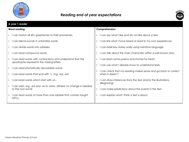

## *Reading end of year expectations*



| A year 1 reader                                                                                          |                                                                                    |
|----------------------------------------------------------------------------------------------------------|------------------------------------------------------------------------------------|
| <b>Word reading</b>                                                                                      | Comprehension                                                                      |
| I can match all 40+ graphemes to their phonemes.<br>$\bullet$                                            | I can say what I like and do not like about a text.<br>$\bullet$                   |
| I can blend sounds in unfamiliar words.<br>$\bullet$                                                     | I can link what I have heard or read to my own experiences.                        |
| I can divide words into syllables.<br>$\bullet$                                                          | I can retell key stories orally using narrative language.                          |
| I can read compound words.<br>$\bullet$                                                                  | I can talk about the main characters within a well known story.<br>$\bullet$       |
| I can read words with contractions and understand that the<br>apostrophe represents the missing letters. | I can learn some poems and rhymes by heart.<br>$\bullet$                           |
| I can read phonetically decodable words.<br>$\bullet$                                                    | I can use what I already know to understand texts.                                 |
| I can read words that end with 's, -ing, -ed, -est<br>$\bullet$                                          | I can check that my reading makes sense and go back to correct<br>when it doesn't. |
| I can read words which start with un-.                                                                   | I can draw inferences from the text and/or the illustrations.<br>(Beginning)       |
| I can add -ing, -ed and -er to verbs. (Where no change is needed<br>to the root word)                    | I can make predictions about the events in the text.<br>$\bullet$                  |
| I can read words of more than one syllable that contain taught<br>GPCs.                                  | I can explain what I think a text is about.<br>$\bullet$                           |
|                                                                                                          |                                                                                    |